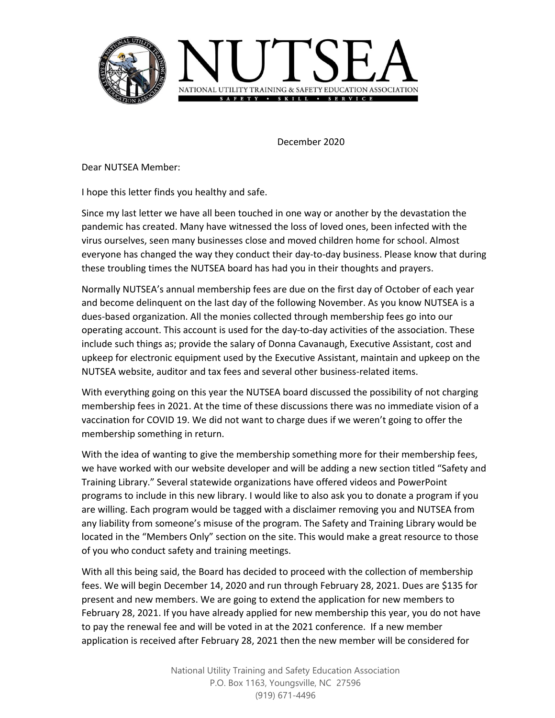

December 2020

Dear NUTSEA Member:

I hope this letter finds you healthy and safe.

Since my last letter we have all been touched in one way or another by the devastation the pandemic has created. Many have witnessed the loss of loved ones, been infected with the virus ourselves, seen many businesses close and moved children home for school. Almost everyone has changed the way they conduct their day-to-day business. Please know that during these troubling times the NUTSEA board has had you in their thoughts and prayers.

Normally NUTSEA's annual membership fees are due on the first day of October of each year and become delinquent on the last day of the following November. As you know NUTSEA is a dues-based organization. All the monies collected through membership fees go into our operating account. This account is used for the day-to-day activities of the association. These include such things as; provide the salary of Donna Cavanaugh, Executive Assistant, cost and upkeep for electronic equipment used by the Executive Assistant, maintain and upkeep on the NUTSEA website, auditor and tax fees and several other business-related items.

With everything going on this year the NUTSEA board discussed the possibility of not charging membership fees in 2021. At the time of these discussions there was no immediate vision of a vaccination for COVID 19. We did not want to charge dues if we weren't going to offer the membership something in return.

With the idea of wanting to give the membership something more for their membership fees, we have worked with our website developer and will be adding a new section titled "Safety and Training Library." Several statewide organizations have offered videos and PowerPoint programs to include in this new library. I would like to also ask you to donate a program if you are willing. Each program would be tagged with a disclaimer removing you and NUTSEA from any liability from someone's misuse of the program. The Safety and Training Library would be located in the "Members Only" section on the site. This would make a great resource to those of you who conduct safety and training meetings.

With all this being said, the Board has decided to proceed with the collection of membership fees. We will begin December 14, 2020 and run through February 28, 2021. Dues are \$135 for present and new members. We are going to extend the application for new members to February 28, 2021. If you have already applied for new membership this year, you do not have to pay the renewal fee and will be voted in at the 2021 conference. If a new member application is received after February 28, 2021 then the new member will be considered for